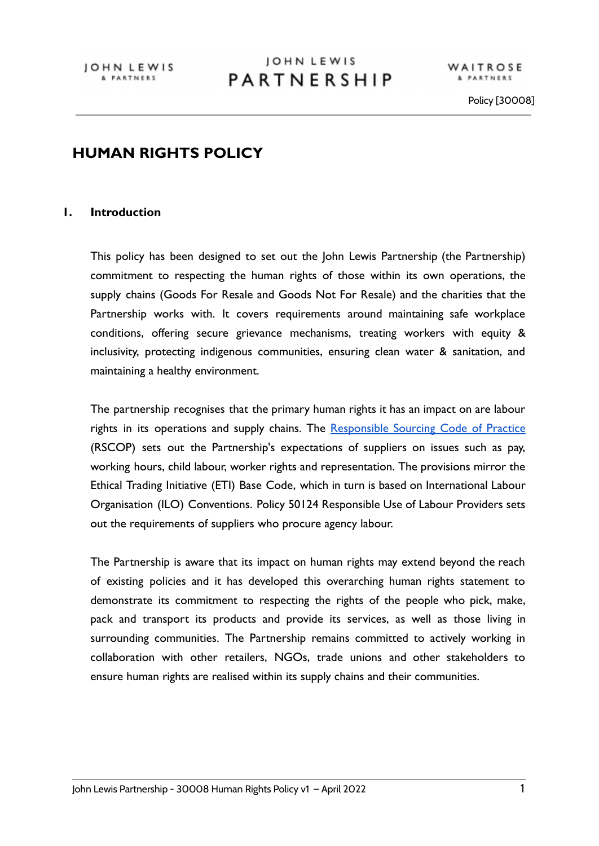WAITROSE & PARTNERS

### **HUMAN RIGHTS POLICY**

#### **1. Introduction**

This policy has been designed to set out the John Lewis Partnership (the Partnership) commitment to respecting the human rights of those within its own operations, the supply chains (Goods For Resale and Goods Not For Resale) and the charities that the Partnership works with. It covers requirements around maintaining safe workplace conditions, offering secure grievance mechanisms, treating workers with equity & inclusivity, protecting indigenous communities, ensuring clean water & sanitation, and maintaining a healthy environment.

The partnership recognises that the primary human rights it has an impact on are labour rights in its operations and supply chains. The [Responsible](https://www.johnlewispartnership.co.uk/content/dam/cws/pdfs/Juniper/jlp-responsible-sourcing-code-of-practice-2020.pdf) Sourcing Code of Practice (RSCOP) sets out the Partnership's expectations of suppliers on issues such as pay, working hours, child labour, worker rights and representation. The provisions mirror the Ethical Trading Initiative (ETI) Base Code, which in turn is based on International Labour Organisation (ILO) Conventions. Policy 50124 Responsible Use of Labour Providers sets out the requirements of suppliers who procure agency labour.

The Partnership is aware that its impact on human rights may extend beyond the reach of existing policies and it has developed this overarching human rights statement to demonstrate its commitment to respecting the rights of the people who pick, make, pack and transport its products and provide its services, as well as those living in surrounding communities. The Partnership remains committed to actively working in collaboration with other retailers, NGOs, trade unions and other stakeholders to ensure human rights are realised within its supply chains and their communities.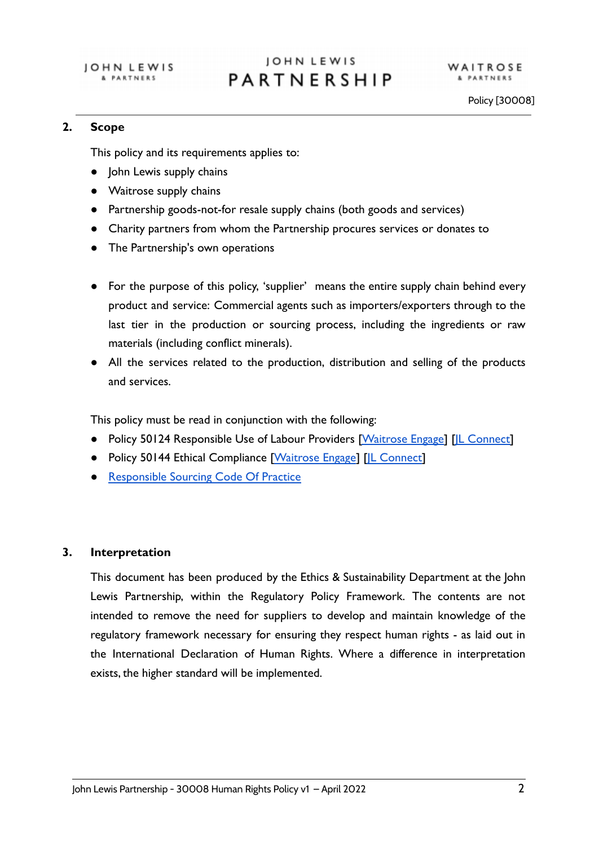#### **2. Scope**

This policy and its requirements applies to:

- John Lewis supply chains
- Waitrose supply chains
- Partnership goods-not-for resale supply chains (both goods and services)
- Charity partners from whom the Partnership procures services or donates to
- The Partnership's own operations
- For the purpose of this policy, 'supplier' means the entire supply chain behind every product and service: Commercial agents such as importers/exporters through to the last tier in the production or sourcing process, including the ingredients or raw materials (including conflict minerals).
- All the services related to the production, distribution and selling of the products and services.

This policy must be read in conjunction with the following:

- Policy 50124 Responsible Use of Labour Providers [\[Waitrose](https://waitrose.engage-systems.net/app/answers/detail/a_id/778) Engage] [IL Connect]
- Policy 50144 Ethical Compliance [[Waitrose Engage](https://waitrose.engage-systems.net/app/answers/detail/a_id/779)] [IL Connect]
- [Responsible Sourcing Code Of Practice](http://ohnlewispartnership.co.uk/content/dam/cws/pdfs/Juniper/jlp-responsible-sourcing-code-of-practice-2020.pdf)

### **3. Interpretation**

This document has been produced by the Ethics & Sustainability Department at the John Lewis Partnership, within the Regulatory Policy Framework. The contents are not intended to remove the need for suppliers to develop and maintain knowledge of the regulatory framework necessary for ensuring they respect human rights - as laid out in the International Declaration of Human Rights. Where a difference in interpretation exists, the higher standard will be implemented.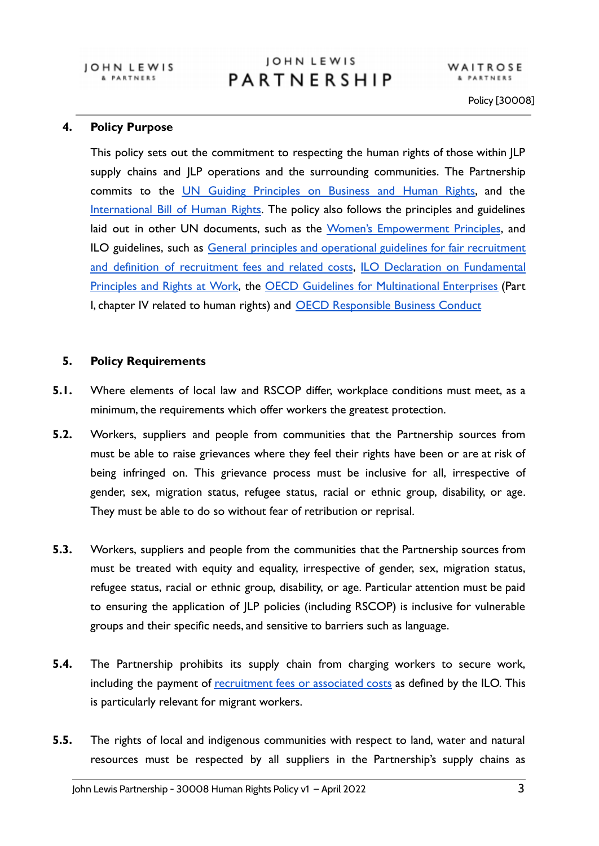WAITROSE & PARTNERS

Policy [30008]

#### **4. Policy Purpose**

This policy sets out the commitment to respecting the human rights of those within JLP supply chains and JLP operations and the surrounding communities. The Partnership commits to the UN Guiding [Principles](https://www.ohchr.org/documents/publications/guidingprinciplesbusinesshr_en.pdf) on Business and Human Rights, and the [International](https://www.ohchr.org/documents/publications/compilation1.1en.pdf) Bill of Human Rights. The policy also follows the principles and guidelines laid out in other UN documents, such as the Women's [Empowerment](https://www.weps.org/about) Principles, and ILO guidelines, such as General principles and operational guidelines for fair [recruitment](https://www.ilo.org/wcmsp5/groups/public/---ed_protect/---protrav/---migrant/documents/publication/wcms_536755.pdf) and definition of [recruitment](https://www.ilo.org/wcmsp5/groups/public/---ed_protect/---protrav/---migrant/documents/publication/wcms_536755.pdf) fees and related costs, ILO Declaration on [Fundamental](https://www.ilo.org/declaration/thedeclaration/textdeclaration/lang--en/index.htm) [Principles](https://www.ilo.org/declaration/thedeclaration/textdeclaration/lang--en/index.htm) and Rights at Work, the OECD Guidelines for [Multinational](https://www.oecd.org/daf/inv/mne/48004323.pdf) Enterprises (Part I, chapter IV related to human rights) and [OECD Responsible](http://mneguidelines.oecd.org/) Business Conduct

#### **5. Policy Requirements**

- **5.1.** Where elements of local law and RSCOP differ, workplace conditions must meet, as a minimum, the requirements which offer workers the greatest protection.
- **5.2.** Workers, suppliers and people from communities that the Partnership sources from must be able to raise grievances where they feel their rights have been or are at risk of being infringed on. This grievance process must be inclusive for all, irrespective of gender, sex, migration status, refugee status, racial or ethnic group, disability, or age. They must be able to do so without fear of retribution or reprisal.
- **5.3.** Workers, suppliers and people from the communities that the Partnership sources from must be treated with equity and equality, irrespective of gender, sex, migration status, refugee status, racial or ethnic group, disability, or age. Particular attention must be paid to ensuring the application of JLP policies (including RSCOP) is inclusive for vulnerable groups and their specific needs, and sensitive to barriers such as language.
- **5.4.** The Partnership prohibits its supply chain from charging workers to secure work, including the payment of [recruitment](https://www.ilo.org/wcmsp5/groups/public/---ed_protect/---protrav/---migrant/documents/publication/wcms_536755.pdf) fees or associated costs as defined by the ILO. This is particularly relevant for migrant workers.
- **5.5.** The rights of local and indigenous communities with respect to land, water and natural resources must be respected by all suppliers in the Partnership's supply chains as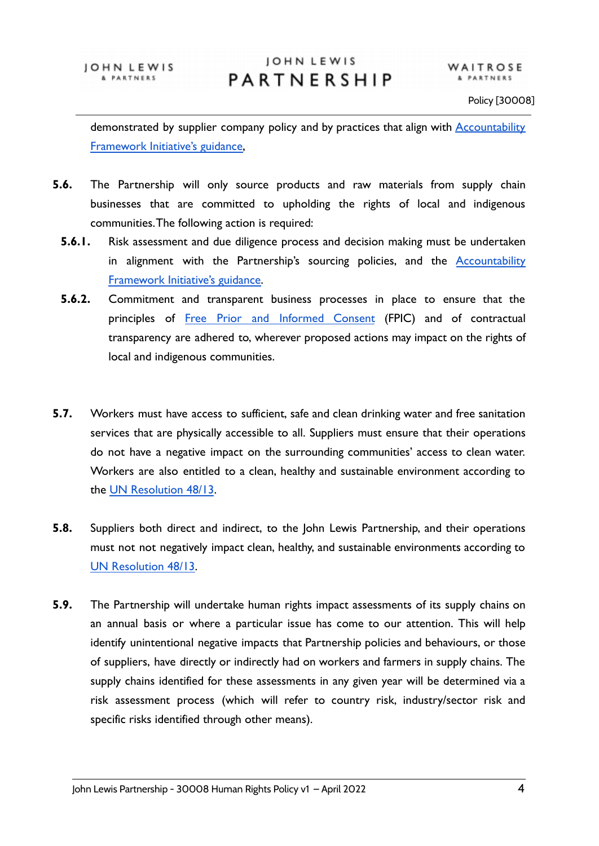demonstrated by supplier company policy and by practices that align with [Accountability](https://accountability-framework.org/the-framework/topics/human-rights/) [Framework Initiative's guidance,](https://accountability-framework.org/the-framework/topics/human-rights/)

- **5.6.** The Partnership will only source products and raw materials from supply chain businesses that are committed to upholding the rights of local and indigenous communities.The following action is required:
	- **5.6.1.** Risk assessment and due diligence process and decision making must be undertaken in alignment with the Partnership's sourcing policies, and the [Accountability](https://accountability-framework.org/the-framework/topics/human-rights/) [Framework Initiative's guidance.](https://accountability-framework.org/the-framework/topics/human-rights/)
	- **5.6.2.** Commitment and transparent business processes in place to ensure that the principles of Free Prior and [Informed](https://accountability-framework.org/operational-guidance/free-prior-and-informed-consent/) Consent (FPIC) and of contractual transparency are adhered to, wherever proposed actions may impact on the rights of local and indigenous communities.
- **5.7.** Workers must have access to sufficient, safe and clean drinking water and free sanitation services that are physically accessible to all. Suppliers must ensure that their operations do not have a negative impact on the surrounding communities' access to clean water. Workers are also entitled to a clean, healthy and sustainable environment according to the [UN Resolution 48/13](https://documents-dds-ny.un.org/doc/UNDOC/LTD/G21/270/15/PDF/G2127015.pdf?OpenElement).
- **5.8.** Suppliers both direct and indirect, to the John Lewis Partnership, and their operations must not not negatively impact clean, healthy, and sustainable environments according to [UN Resolution 48/13](https://documents-dds-ny.un.org/doc/UNDOC/LTD/G21/270/15/PDF/G2127015.pdf?OpenElement).
- **5.9.** The Partnership will undertake human rights impact assessments of its supply chains on an annual basis or where a particular issue has come to our attention. This will help identify unintentional negative impacts that Partnership policies and behaviours, or those of suppliers, have directly or indirectly had on workers and farmers in supply chains. The supply chains identified for these assessments in any given year will be determined via a risk assessment process (which will refer to country risk, industry/sector risk and specific risks identified through other means).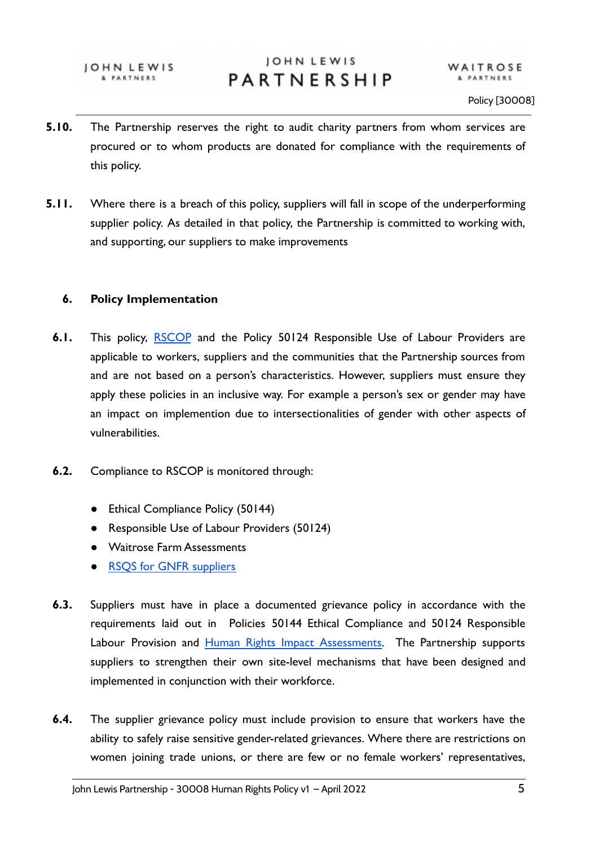JOHN LEWIS & PARTNERS

### JOHN LEWIS PARTNERSHIP

- **5.10.** The Partnership reserves the right to audit charity partners from whom services are procured or to whom products are donated for compliance with the requirements of this policy.
- **5.11.** Where there is a breach of this policy, suppliers will fall in scope of the underperforming supplier policy. As detailed in that policy, the Partnership is committed to working with, and supporting, our suppliers to make improvements

#### **6. Policy Implementation**

- **6.1.** This policy, [RSCOP](https://www.johnlewispartnership.co.uk/content/dam/cws/pdfs/Juniper/jlp-responsible-sourcing-code-of-practice-2020.pdf) and the Policy 50124 Responsible Use of Labour Providers are applicable to workers, suppliers and the communities that the Partnership sources from and are not based on a person's characteristics. However, suppliers must ensure they apply these policies in an inclusive way. For example a person's sex or gender may have an impact on implemention due to intersectionalities of gender with other aspects of vulnerabilities.
- **6.2.** Compliance to RSCOP is monitored through:
	- Ethical Compliance Policy (50144)
	- Responsible Use of Labour Providers (50124)
	- Waitrose Farm Assessments
	- RSOS for GNFR suppliers
- **6.3.** Suppliers must have in place a documented grievance policy in accordance with the requirements laid out in Policies 50144 Ethical Compliance and 50124 Responsible Labour Provision and Human Rights Impact [Assessments.](https://www.johnlewispartnership.co.uk/csr/third-party-impact-assessments.html) The Partnership supports suppliers to strengthen their own site-level mechanisms that have been designed and implemented in conjunction with their workforce.
- **6.4.** The supplier grievance policy must include provision to ensure that workers have the ability to safely raise sensitive gender-related grievances. Where there are restrictions on women joining trade unions, or there are few or no female workers' representatives,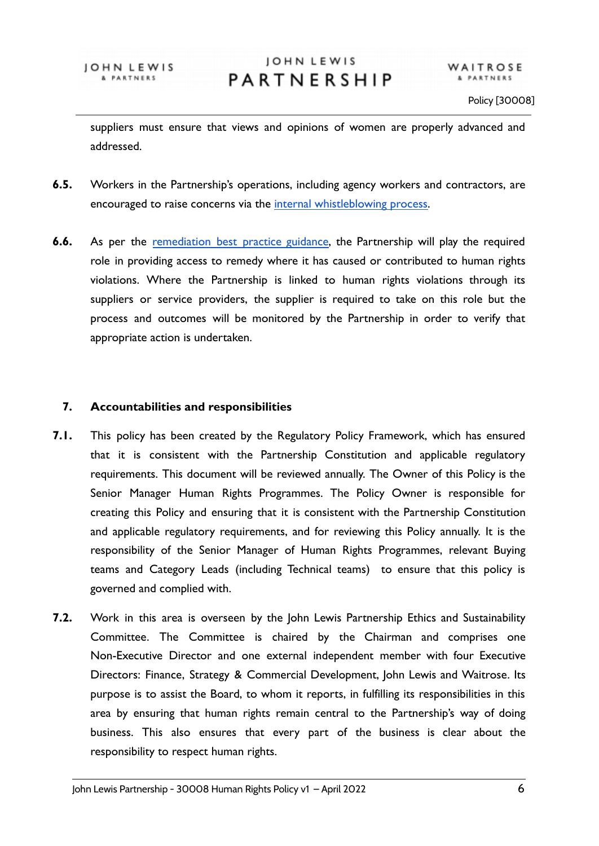suppliers must ensure that views and opinions of women are properly advanced and addressed.

- **6.5.** Workers in the Partnership's operations, including agency workers and contractors, are encouraged to raise concerns via the [internal whistleblowing](https://www.partnerintranet.co.uk/home/information-policy/policies-procedures/whistleblowing-policy) process.
- **6.6.** As per the [remediation](https://drive.google.com/file/d/1uCSd9Ku-gVvPifcag9zjmFbU8hbbtN38/view?usp=sharing) best practice guidance, the Partnership will play the required role in providing access to remedy where it has caused or contributed to human rights violations. Where the Partnership is linked to human rights violations through its suppliers or service providers, the supplier is required to take on this role but the process and outcomes will be monitored by the Partnership in order to verify that appropriate action is undertaken.

#### **7. Accountabilities and responsibilities**

- **7.1.** This policy has been created by the Regulatory Policy Framework, which has ensured that it is consistent with the Partnership Constitution and applicable regulatory requirements. This document will be reviewed annually. The Owner of this Policy is the Senior Manager Human Rights Programmes. The Policy Owner is responsible for creating this Policy and ensuring that it is consistent with the Partnership Constitution and applicable regulatory requirements, and for reviewing this Policy annually. It is the responsibility of the Senior Manager of Human Rights Programmes, relevant Buying teams and Category Leads (including Technical teams) to ensure that this policy is governed and complied with.
- **7.2.** Work in this area is overseen by the John Lewis Partnership Ethics and Sustainability Committee. The Committee is chaired by the Chairman and comprises one Non-Executive Director and one external independent member with four Executive Directors: Finance, Strategy & Commercial Development, John Lewis and Waitrose. Its purpose is to assist the Board, to whom it reports, in fulfilling its responsibilities in this area by ensuring that human rights remain central to the Partnership's way of doing business. This also ensures that every part of the business is clear about the responsibility to respect human rights.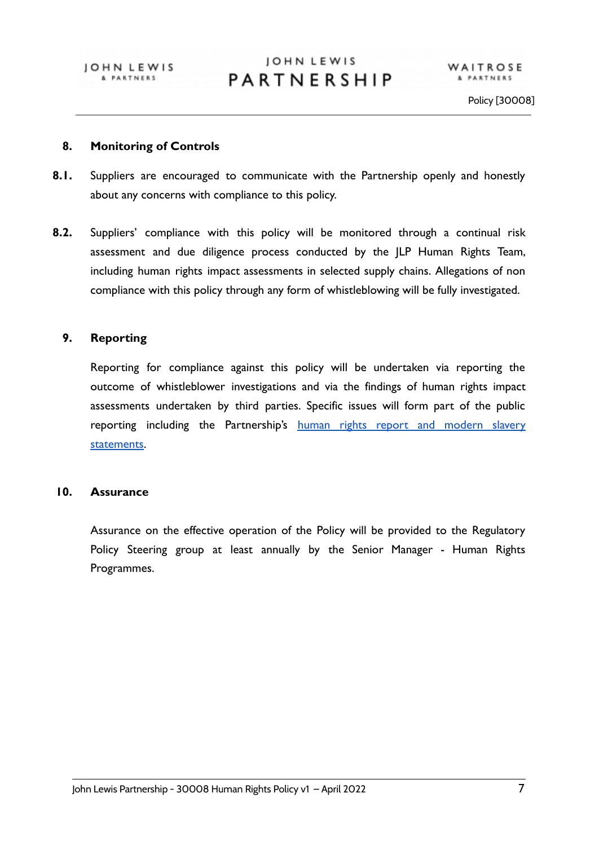#### **8. Monitoring of Controls**

- **8.1.** Suppliers are encouraged to communicate with the Partnership openly and honestly about any concerns with compliance to this policy.
- **8.2.** Suppliers' compliance with this policy will be monitored through a continual risk assessment and due diligence process conducted by the JLP Human Rights Team, including human rights impact assessments in selected supply chains. Allegations of non compliance with this policy through any form of whistleblowing will be fully investigated.

#### **9. Reporting**

Reporting for compliance against this policy will be undertaken via reporting the outcome of whistleblower investigations and via the findings of human rights impact assessments undertaken by third parties. Specific issues will form part of the public reporting including the Partnership's human rights report and [modern](https://www.johnlewispartnership.co.uk/csr/reporting/modern-slavery-statement.html) slavery [statements](https://www.johnlewispartnership.co.uk/csr/reporting/modern-slavery-statement.html).

#### **10. Assurance**

Assurance on the effective operation of the Policy will be provided to the Regulatory Policy Steering group at least annually by the Senior Manager - Human Rights Programmes.